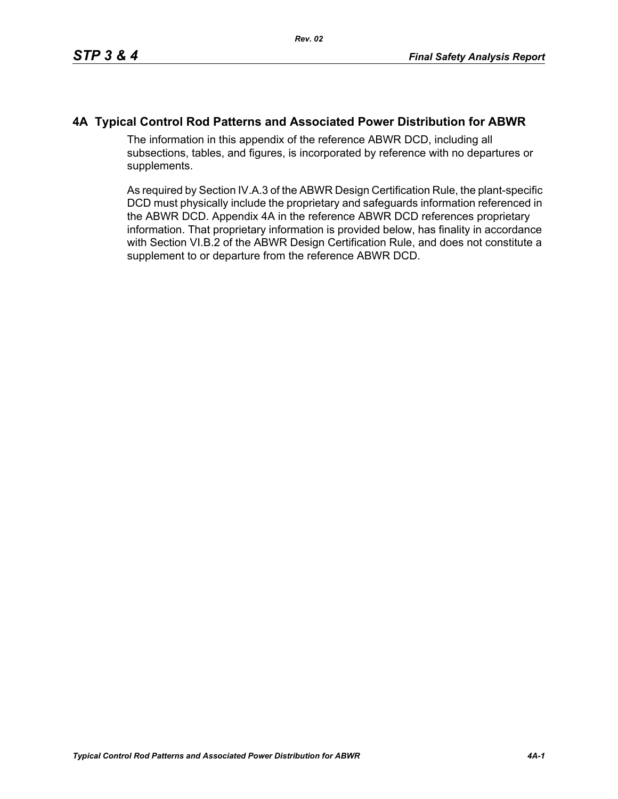## **4A Typical Control Rod Patterns and Associated Power Distribution for ABWR**

The information in this appendix of the reference ABWR DCD, including all subsections, tables, and figures, is incorporated by reference with no departures or supplements.

As required by Section IV.A.3 of the ABWR Design Certification Rule, the plant-specific DCD must physically include the proprietary and safeguards information referenced in the ABWR DCD. Appendix 4A in the reference ABWR DCD references proprietary information. That proprietary information is provided below, has finality in accordance with Section VI.B.2 of the ABWR Design Certification Rule, and does not constitute a supplement to or departure from the reference ABWR DCD.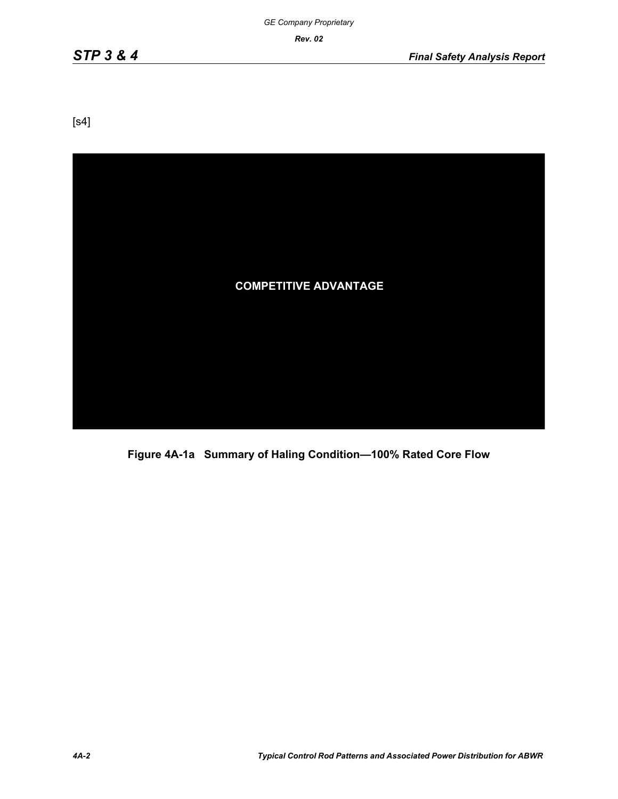[s4]



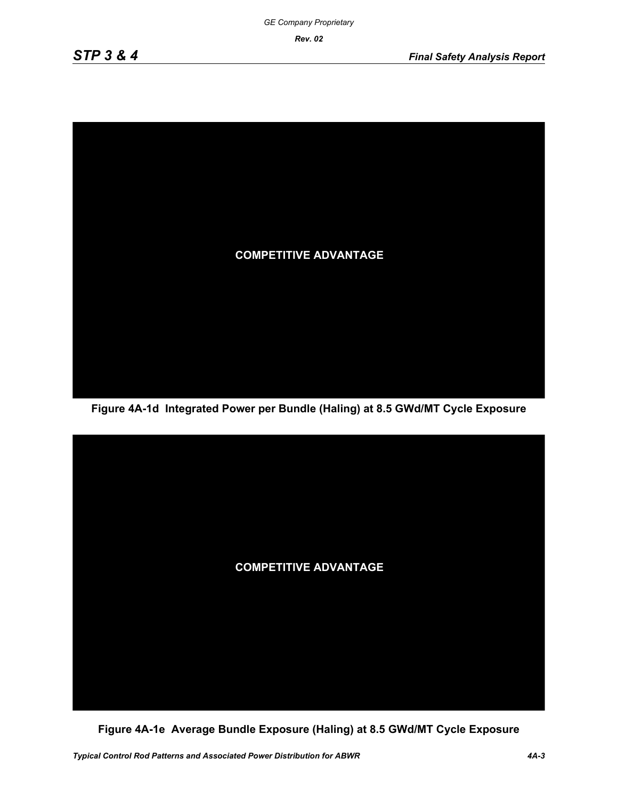

**Figure 4A-1d Integrated Power per Bundle (Haling) at 8.5 GWd/MT Cycle Exposure**



**Figure 4A-1e Average Bundle Exposure (Haling) at 8.5 GWd/MT Cycle Exposure**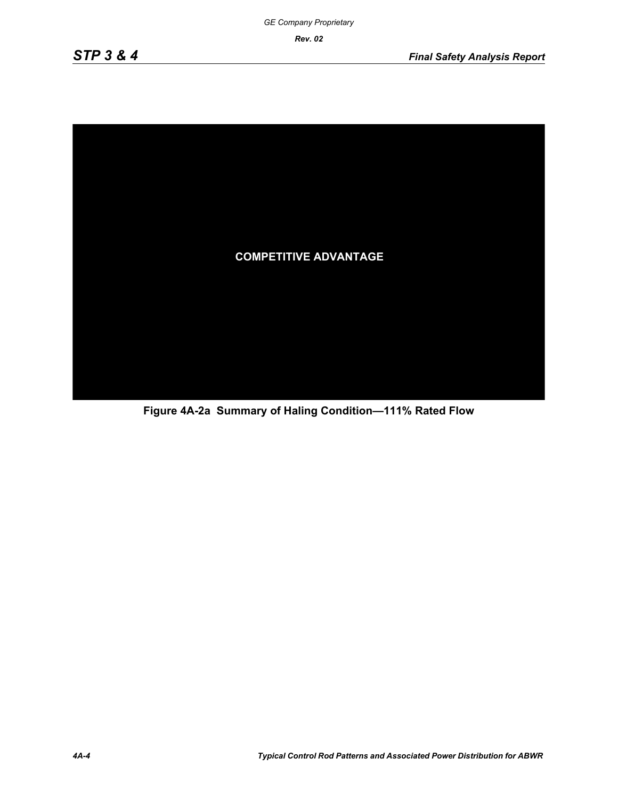

**Figure 4A-2a Summary of Haling Condition—111% Rated Flow**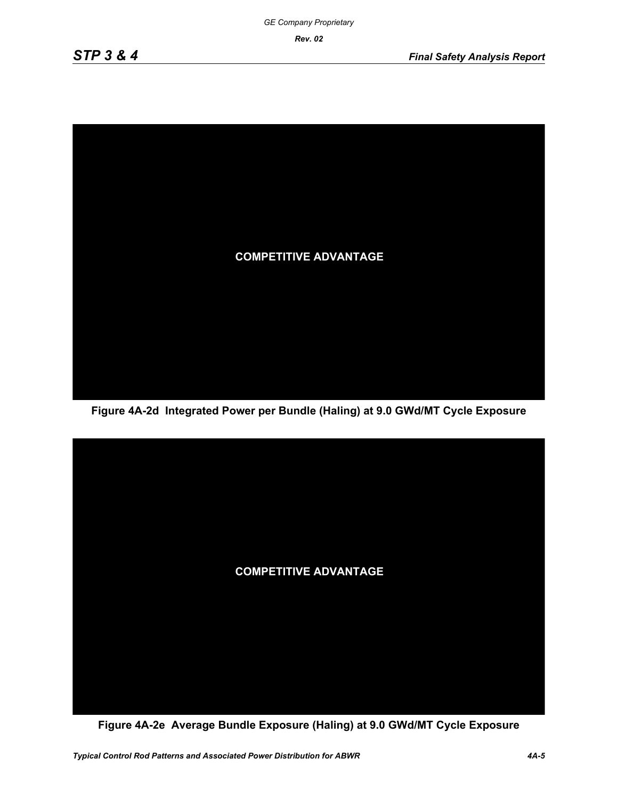

**Figure 4A-2d Integrated Power per Bundle (Haling) at 9.0 GWd/MT Cycle Exposure**



**Figure 4A-2e Average Bundle Exposure (Haling) at 9.0 GWd/MT Cycle Exposure**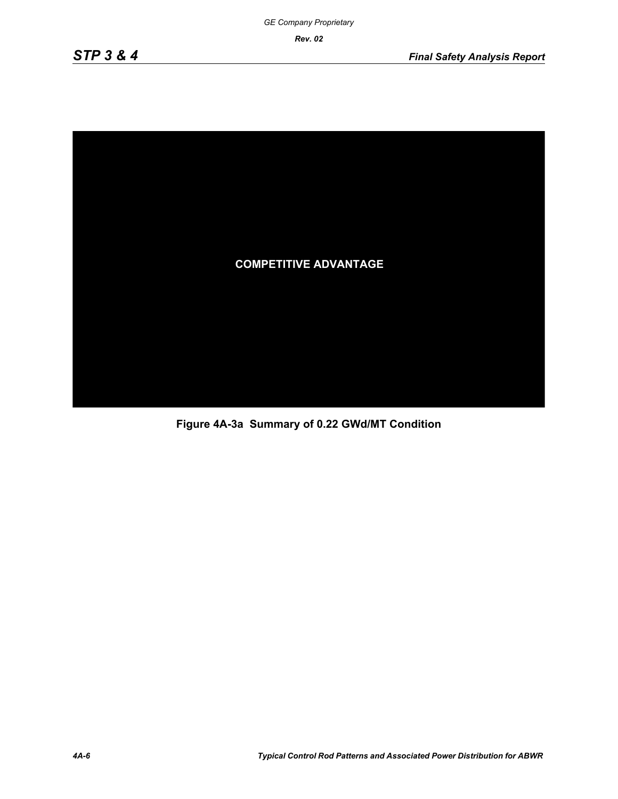

**Figure 4A-3a Summary of 0.22 GWd/MT Condition**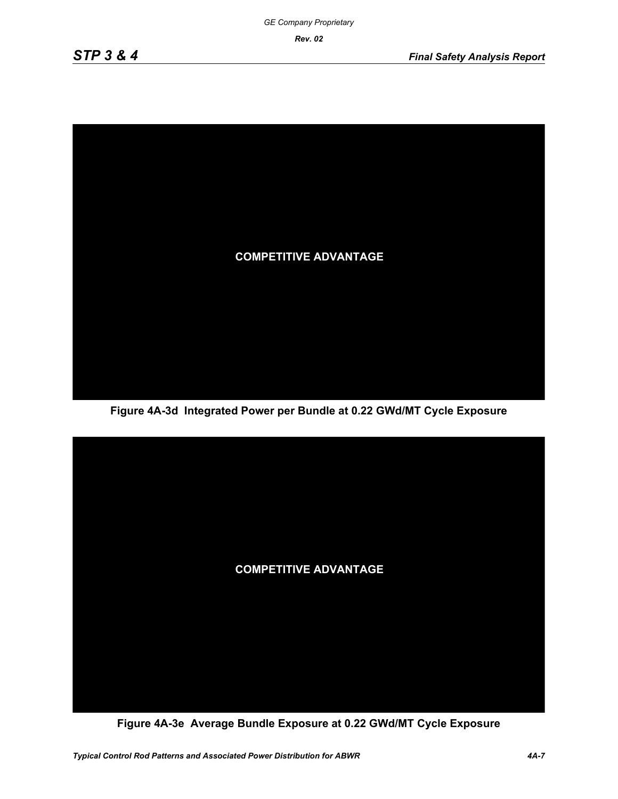

**Figure 4A-3d Integrated Power per Bundle at 0.22 GWd/MT Cycle Exposure**



**Figure 4A-3e Average Bundle Exposure at 0.22 GWd/MT Cycle Exposure**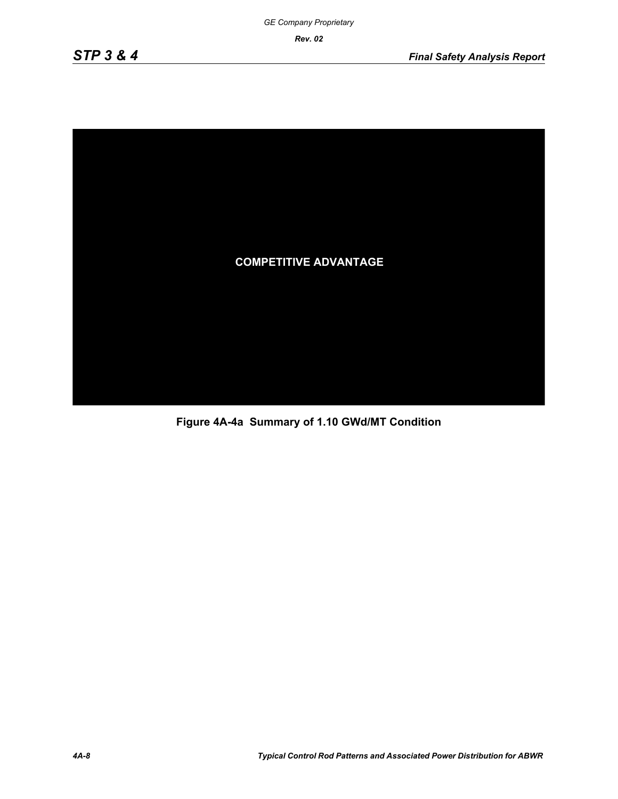

**Figure 4A-4a Summary of 1.10 GWd/MT Condition**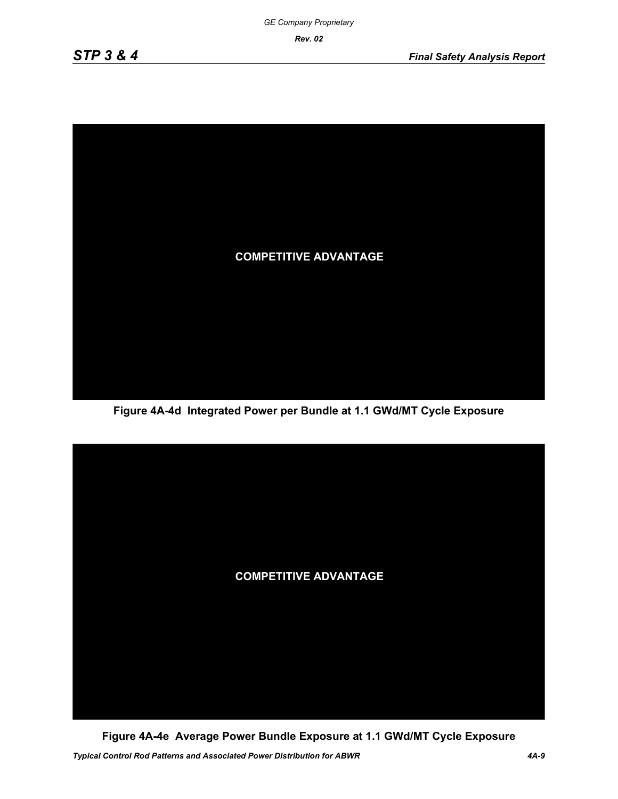

**Figure 4A-4d Integrated Power per Bundle at 1.1 GWd/MT Cycle Exposure**



**Figure 4A-4e Average Power Bundle Exposure at 1.1 GWd/MT Cycle Exposure**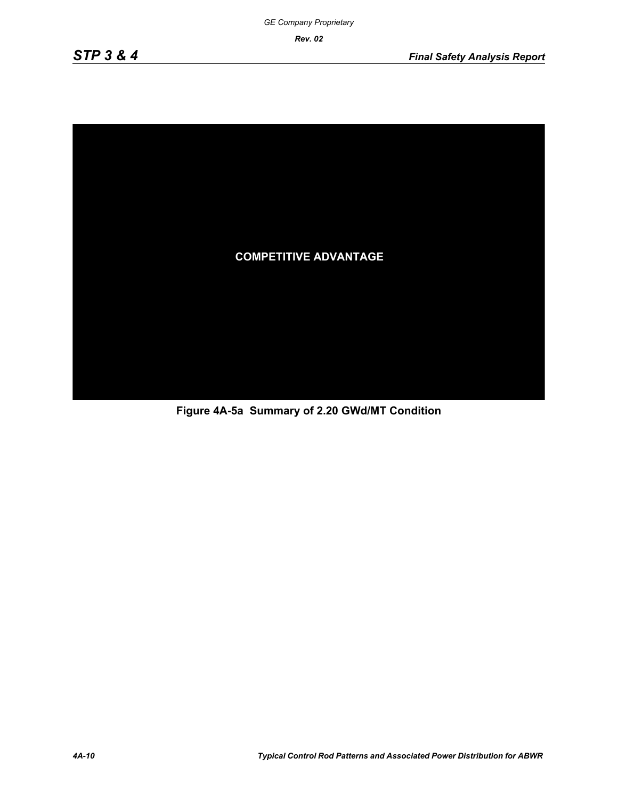

**Figure 4A-5a Summary of 2.20 GWd/MT Condition**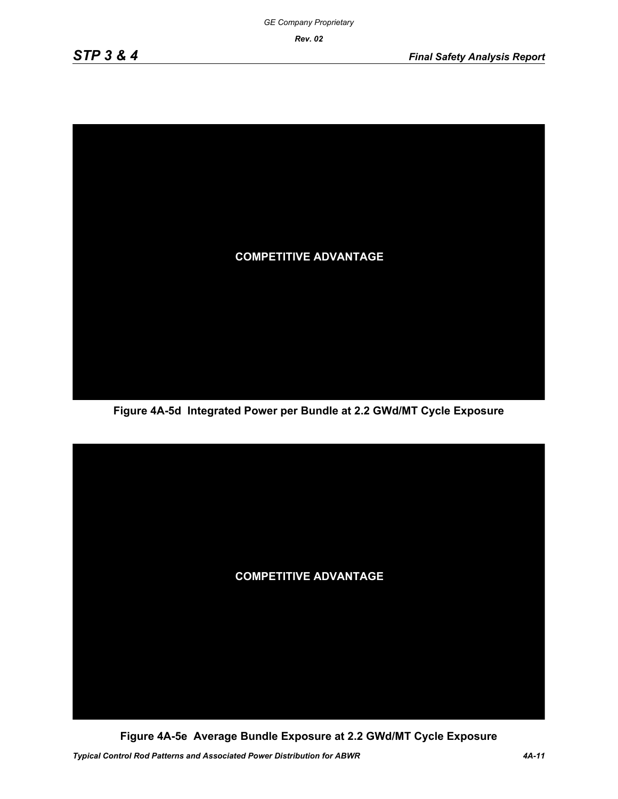

**Figure 4A-5d Integrated Power per Bundle at 2.2 GWd/MT Cycle Exposure**



**Figure 4A-5e Average Bundle Exposure at 2.2 GWd/MT Cycle Exposure**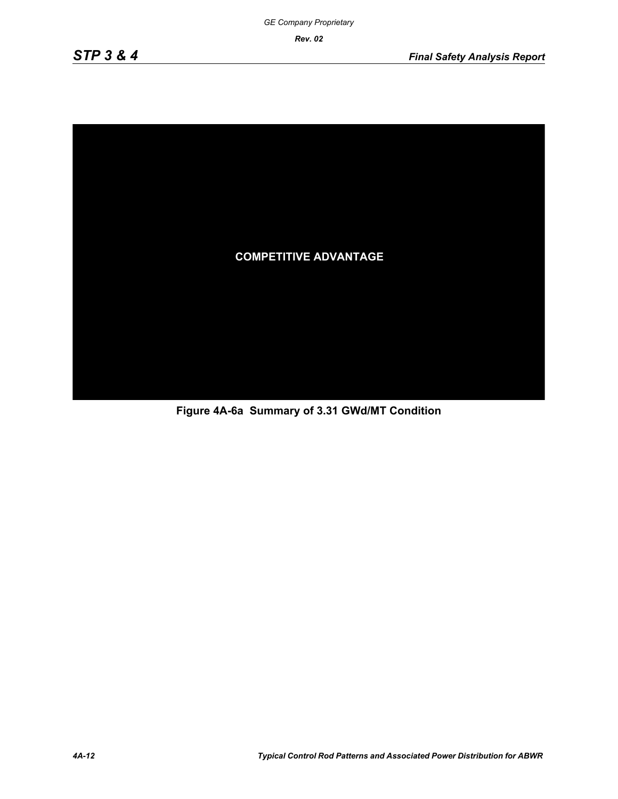

**Figure 4A-6a Summary of 3.31 GWd/MT Condition**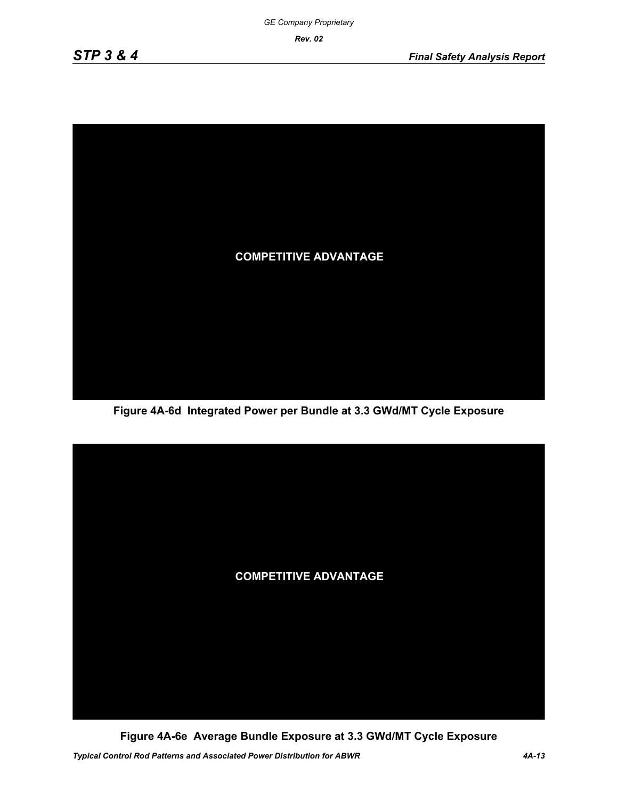

**Figure 4A-6d Integrated Power per Bundle at 3.3 GWd/MT Cycle Exposure**



**Figure 4A-6e Average Bundle Exposure at 3.3 GWd/MT Cycle Exposure**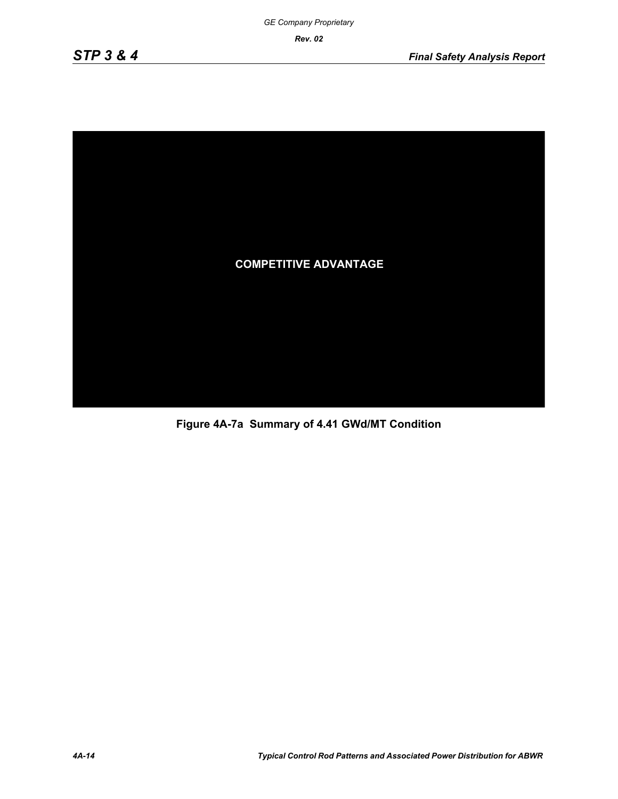

**Figure 4A-7a Summary of 4.41 GWd/MT Condition**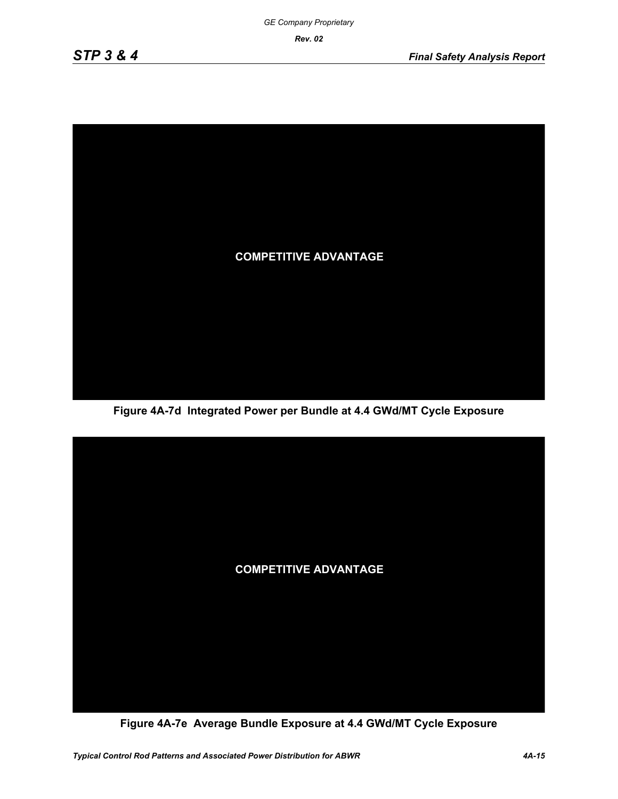

**Figure 4A-7d Integrated Power per Bundle at 4.4 GWd/MT Cycle Exposure**



**Figure 4A-7e Average Bundle Exposure at 4.4 GWd/MT Cycle Exposure**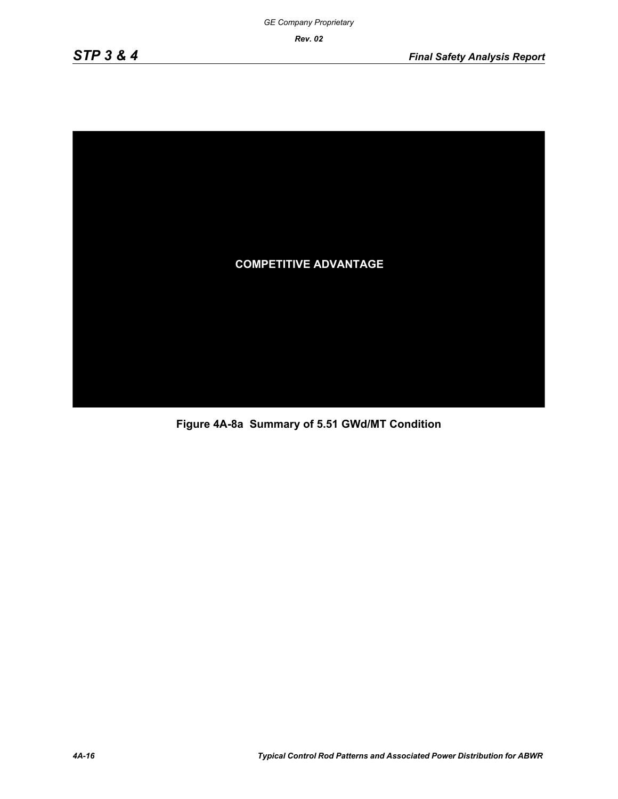

**Figure 4A-8a Summary of 5.51 GWd/MT Condition**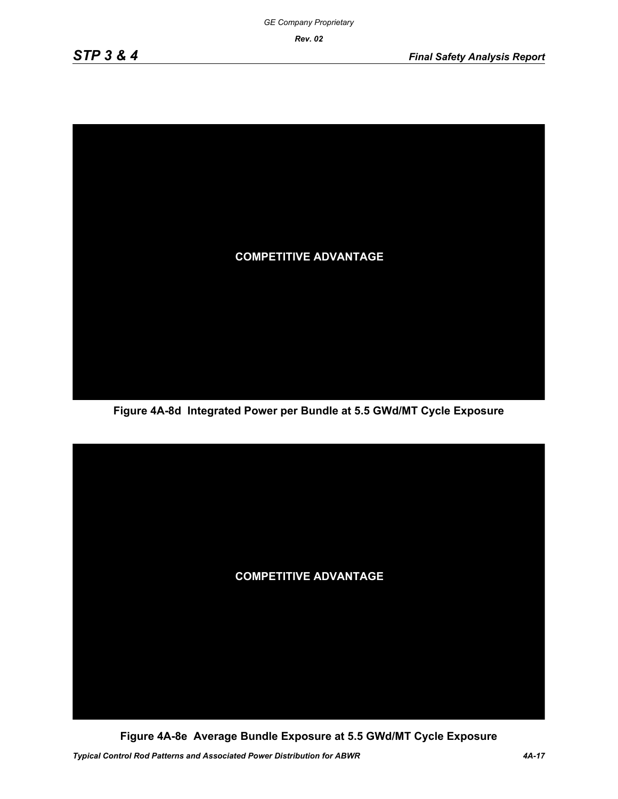

**Figure 4A-8d Integrated Power per Bundle at 5.5 GWd/MT Cycle Exposure**



**Figure 4A-8e Average Bundle Exposure at 5.5 GWd/MT Cycle Exposure**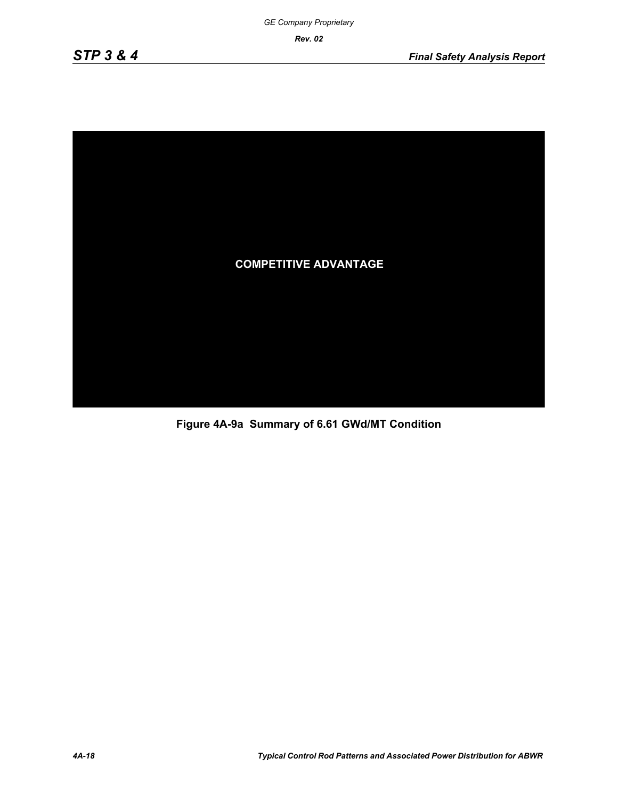

**Figure 4A-9a Summary of 6.61 GWd/MT Condition**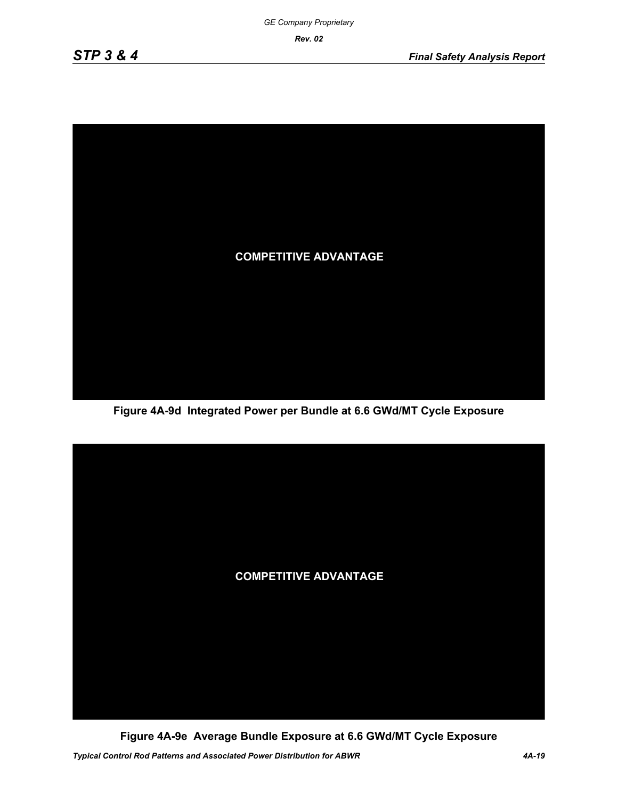

**Figure 4A-9d Integrated Power per Bundle at 6.6 GWd/MT Cycle Exposure**



**Figure 4A-9e Average Bundle Exposure at 6.6 GWd/MT Cycle Exposure**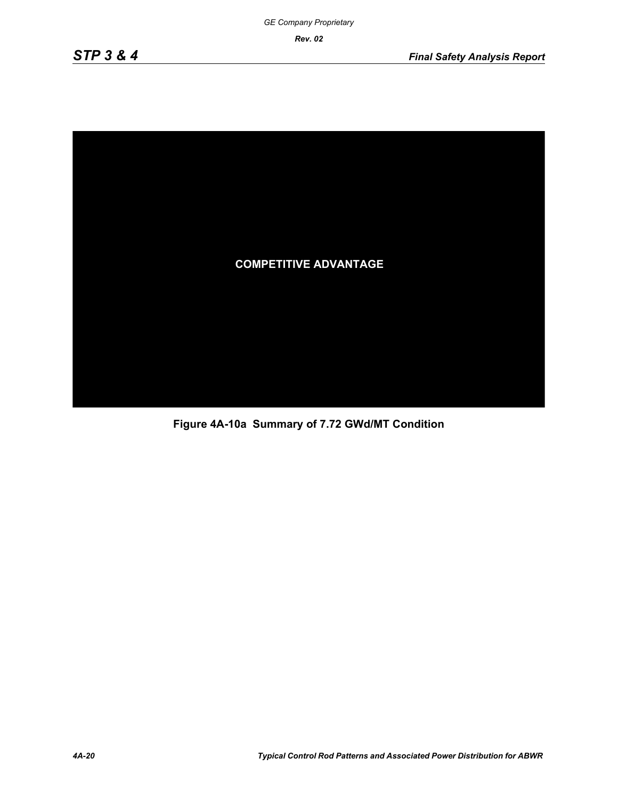

**Figure 4A-10a Summary of 7.72 GWd/MT Condition**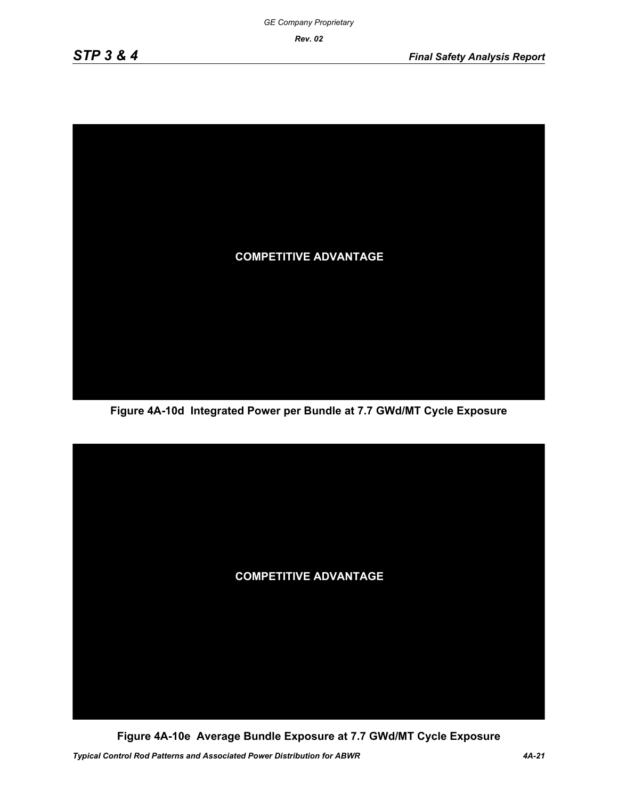

**Figure 4A-10d Integrated Power per Bundle at 7.7 GWd/MT Cycle Exposure**



**Figure 4A-10e Average Bundle Exposure at 7.7 GWd/MT Cycle Exposure**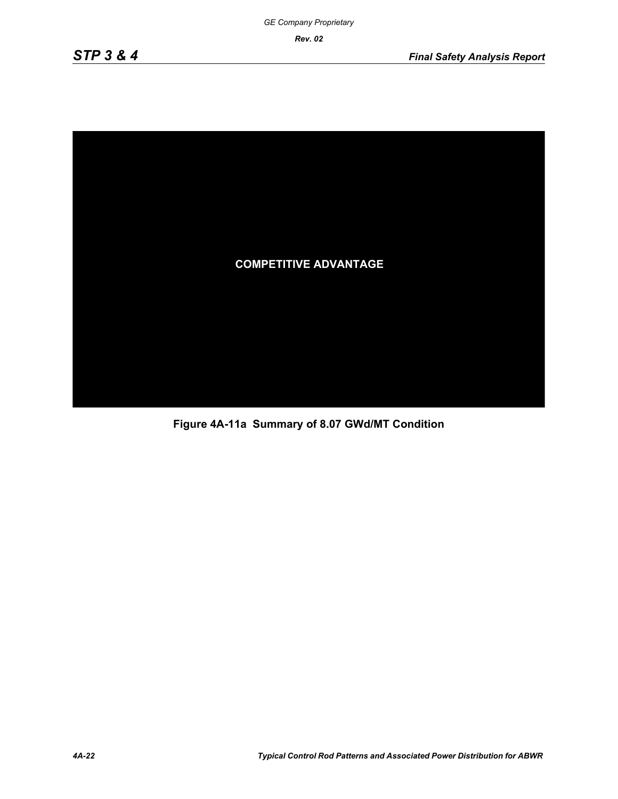

**Figure 4A-11a Summary of 8.07 GWd/MT Condition**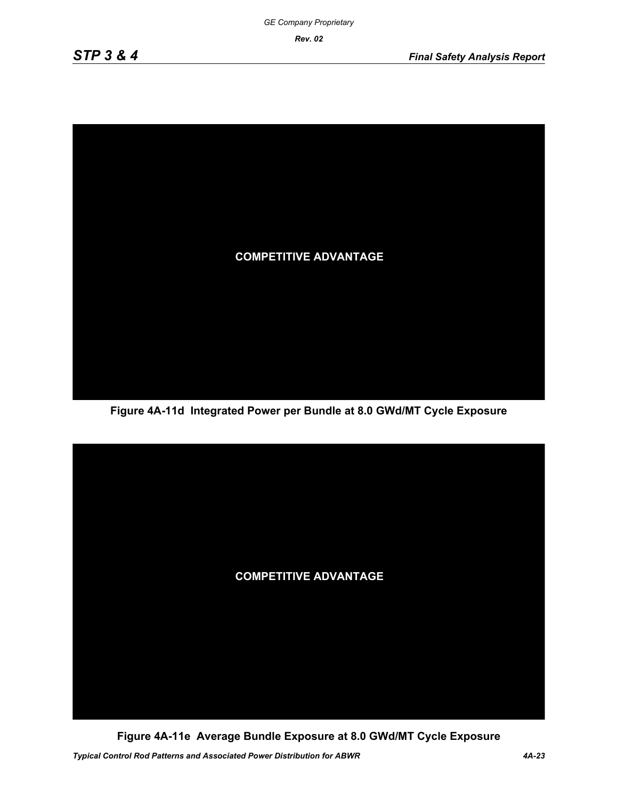

**Figure 4A-11d Integrated Power per Bundle at 8.0 GWd/MT Cycle Exposure**



**Figure 4A-11e Average Bundle Exposure at 8.0 GWd/MT Cycle Exposure**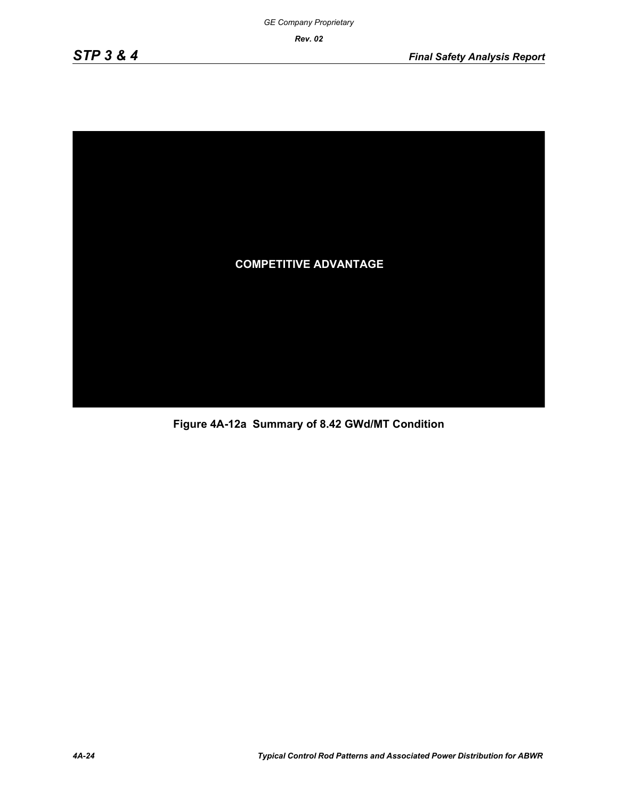

**Figure 4A-12a Summary of 8.42 GWd/MT Condition**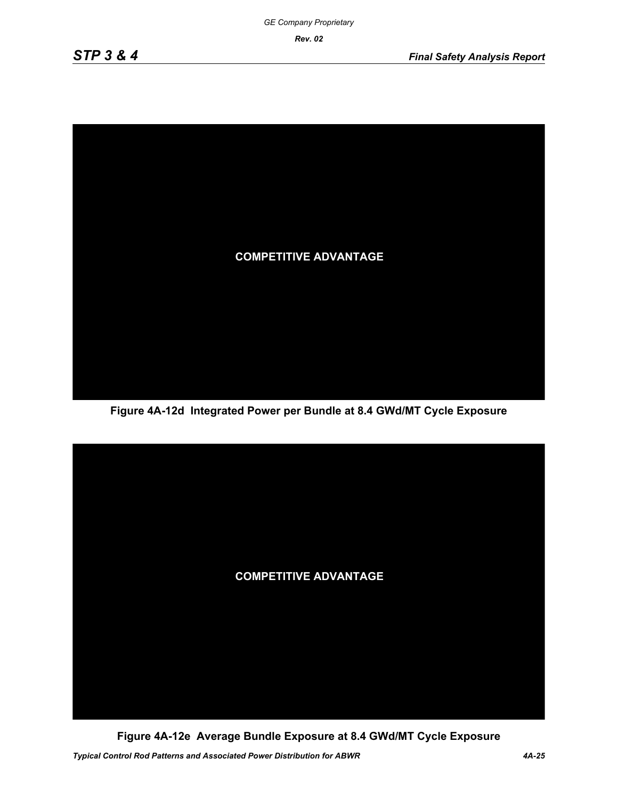![](_page_24_Picture_4.jpeg)

**Figure 4A-12d Integrated Power per Bundle at 8.4 GWd/MT Cycle Exposure**

![](_page_24_Picture_6.jpeg)

**Figure 4A-12e Average Bundle Exposure at 8.4 GWd/MT Cycle Exposure**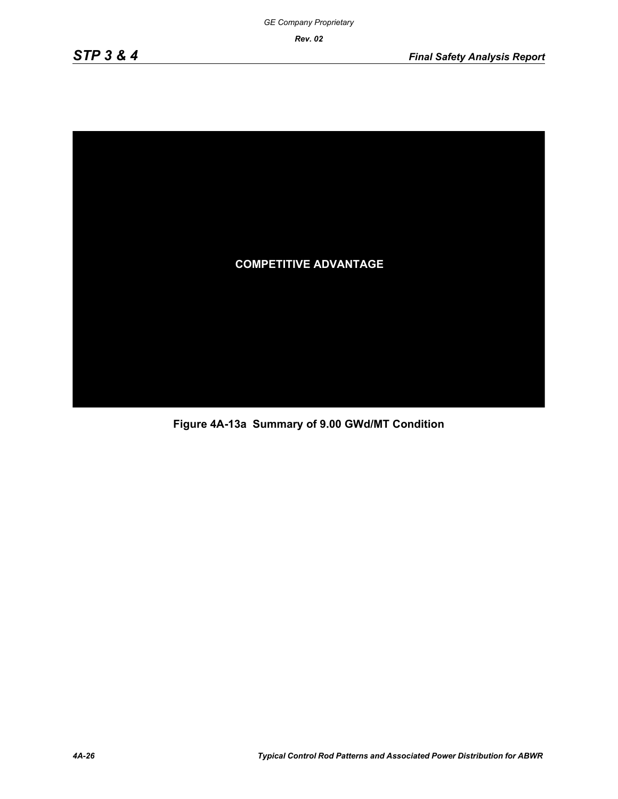![](_page_25_Picture_4.jpeg)

**Figure 4A-13a Summary of 9.00 GWd/MT Condition**